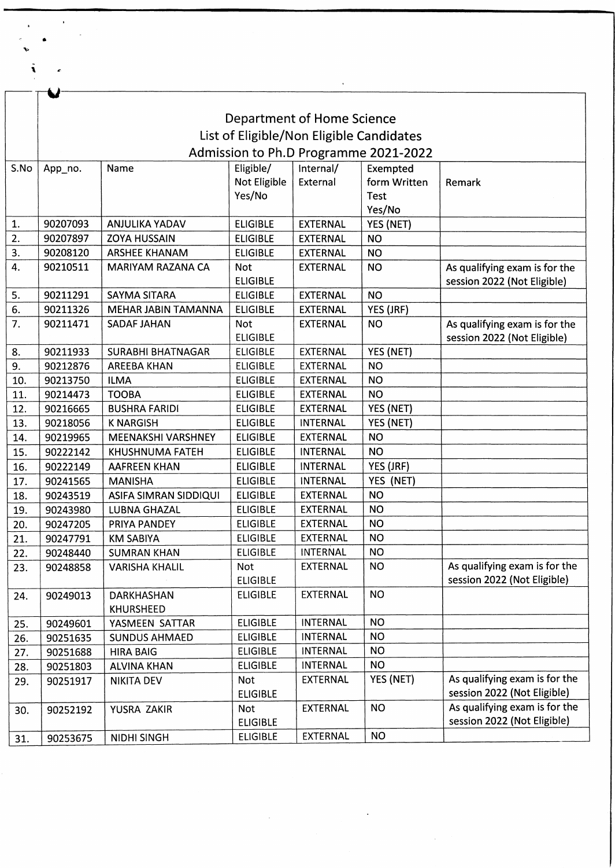|      | Department of Home Science<br>List of Eligible/Non Eligible Candidates |                              |                 |                 |              |                                                              |  |  |  |  |  |
|------|------------------------------------------------------------------------|------------------------------|-----------------|-----------------|--------------|--------------------------------------------------------------|--|--|--|--|--|
|      |                                                                        |                              |                 |                 |              |                                                              |  |  |  |  |  |
|      | Admission to Ph.D Programme 2021-2022                                  |                              |                 |                 |              |                                                              |  |  |  |  |  |
| S.No | Eligible/<br>Internal/<br>Name<br>Exempted<br>App_no.                  |                              |                 |                 |              |                                                              |  |  |  |  |  |
|      |                                                                        |                              | Not Eligible    | External        | form Written | Remark                                                       |  |  |  |  |  |
|      |                                                                        |                              | Yes/No          |                 | Test         |                                                              |  |  |  |  |  |
|      |                                                                        |                              |                 |                 | Yes/No       |                                                              |  |  |  |  |  |
| 1.   | 90207093                                                               | ANJULIKA YADAV               | <b>ELIGIBLE</b> | <b>EXTERNAL</b> | YES (NET)    |                                                              |  |  |  |  |  |
| 2.   | 90207897                                                               | <b>ZOYA HUSSAIN</b>          | <b>ELIGIBLE</b> | <b>EXTERNAL</b> | <b>NO</b>    |                                                              |  |  |  |  |  |
| 3.   | 90208120                                                               | <b>ARSHEE KHANAM</b>         | <b>ELIGIBLE</b> | <b>EXTERNAL</b> | <b>NO</b>    |                                                              |  |  |  |  |  |
| 4.   | 90210511                                                               | MARIYAM RAZANA CA            | Not             | <b>EXTERNAL</b> | <b>NO</b>    | As qualifying exam is for the                                |  |  |  |  |  |
|      |                                                                        |                              | <b>ELIGIBLE</b> |                 |              | session 2022 (Not Eligible)                                  |  |  |  |  |  |
| 5.   | 90211291                                                               | <b>SAYMA SITARA</b>          | <b>ELIGIBLE</b> | <b>EXTERNAL</b> | <b>NO</b>    |                                                              |  |  |  |  |  |
| 6.   | 90211326                                                               | <b>MEHAR JABIN TAMANNA</b>   | <b>ELIGIBLE</b> | <b>EXTERNAL</b> | YES (JRF)    |                                                              |  |  |  |  |  |
| 7.   | 90211471                                                               | SADAF JAHAN                  | Not             | <b>EXTERNAL</b> | <b>NO</b>    | As qualifying exam is for the                                |  |  |  |  |  |
|      |                                                                        |                              | <b>ELIGIBLE</b> |                 |              | session 2022 (Not Eligible)                                  |  |  |  |  |  |
| 8.   | 90211933                                                               | <b>SURABHI BHATNAGAR</b>     | <b>ELIGIBLE</b> | <b>EXTERNAL</b> | YES (NET)    |                                                              |  |  |  |  |  |
| 9.   | 90212876                                                               | <b>AREEBA KHAN</b>           | <b>ELIGIBLE</b> | <b>EXTERNAL</b> | <b>NO</b>    |                                                              |  |  |  |  |  |
| 10.  | 90213750                                                               | <b>ILMA</b>                  | <b>ELIGIBLE</b> | <b>EXTERNAL</b> | <b>NO</b>    |                                                              |  |  |  |  |  |
| 11.  | 90214473                                                               | <b>TOOBA</b>                 | <b>ELIGIBLE</b> | <b>EXTERNAL</b> | <b>NO</b>    |                                                              |  |  |  |  |  |
| 12.  | 90216665                                                               | <b>BUSHRA FARIDI</b>         | <b>ELIGIBLE</b> | <b>EXTERNAL</b> | YES (NET)    |                                                              |  |  |  |  |  |
| 13.  | 90218056                                                               | <b>K NARGISH</b>             | <b>ELIGIBLE</b> | <b>INTERNAL</b> | YES (NET)    |                                                              |  |  |  |  |  |
| 14.  | 90219965                                                               | MEENAKSHI VARSHNEY           | <b>ELIGIBLE</b> | <b>EXTERNAL</b> | <b>NO</b>    |                                                              |  |  |  |  |  |
| 15.  | 90222142                                                               | <b>KHUSHNUMA FATEH</b>       | <b>ELIGIBLE</b> | <b>INTERNAL</b> | <b>NO</b>    |                                                              |  |  |  |  |  |
| 16.  | 90222149                                                               | <b>AAFREEN KHAN</b>          | <b>ELIGIBLE</b> | INTERNAL        | YES (JRF)    |                                                              |  |  |  |  |  |
| 17.  | 90241565                                                               | <b>MANISHA</b>               | <b>ELIGIBLE</b> | <b>INTERNAL</b> | YES (NET)    |                                                              |  |  |  |  |  |
| 18.  | 90243519                                                               | <b>ASIFA SIMRAN SIDDIQUI</b> | <b>ELIGIBLE</b> | <b>EXTERNAL</b> | <b>NO</b>    |                                                              |  |  |  |  |  |
| 19.  | 90243980                                                               | <b>LUBNA GHAZAL</b>          | <b>ELIGIBLE</b> | <b>EXTERNAL</b> | NO.          |                                                              |  |  |  |  |  |
| 20.  | 90247205                                                               | PRIYA PANDEY                 | <b>ELIGIBLE</b> | <b>EXTERNAL</b> | <b>NO</b>    |                                                              |  |  |  |  |  |
| 21.  | 90247791                                                               | <b>KM SABIYA</b>             | <b>ELIGIBLE</b> | <b>EXTERNAL</b> | <b>NO</b>    |                                                              |  |  |  |  |  |
| 22.  | 90248440                                                               | <b>SUMRAN KHAN</b>           | <b>ELIGIBLE</b> | INTERNAL        | <b>NO</b>    |                                                              |  |  |  |  |  |
| 23.  | 90248858                                                               | <b>VARISHA KHALIL</b>        | Not             | <b>EXTERNAL</b> | <b>NO</b>    | As qualifying exam is for the                                |  |  |  |  |  |
|      |                                                                        |                              | <b>ELIGIBLE</b> |                 |              | session 2022 (Not Eligible)                                  |  |  |  |  |  |
| 24.  | 90249013                                                               | DARKHASHAN                   | <b>ELIGIBLE</b> | <b>EXTERNAL</b> | <b>NO</b>    |                                                              |  |  |  |  |  |
|      |                                                                        | KHURSHEED                    |                 |                 |              |                                                              |  |  |  |  |  |
| 25.  | 90249601                                                               | YASMEEN SATTAR               | <b>ELIGIBLE</b> | <b>INTERNAL</b> | <b>NO</b>    |                                                              |  |  |  |  |  |
| 26.  | 90251635                                                               | <b>SUNDUS AHMAED</b>         | <b>ELIGIBLE</b> | <b>INTERNAL</b> | <b>NO</b>    |                                                              |  |  |  |  |  |
| 27.  | 90251688                                                               | <b>HIRA BAIG</b>             | <b>ELIGIBLE</b> | <b>INTERNAL</b> | <b>NO</b>    |                                                              |  |  |  |  |  |
| 28.  | 90251803                                                               | <b>ALVINA KHAN</b>           | <b>ELIGIBLE</b> | INTERNAL        | <b>NO</b>    |                                                              |  |  |  |  |  |
| 29.  | 90251917                                                               | <b>NIKITA DEV</b>            | <b>Not</b>      | EXTERNAL        | YES (NET)    | As qualifying exam is for the                                |  |  |  |  |  |
|      |                                                                        |                              | <b>ELIGIBLE</b> |                 |              | session 2022 (Not Eligible)                                  |  |  |  |  |  |
| 30.  | 90252192                                                               | YUSRA ZAKIR                  | <b>Not</b>      | EXTERNAL        | <b>NO</b>    | As qualifying exam is for the<br>session 2022 (Not Eligible) |  |  |  |  |  |
|      |                                                                        |                              | <b>ELIGIBLE</b> |                 |              |                                                              |  |  |  |  |  |
| 31.  | 90253675                                                               | NIDHI SINGH                  | <b>ELIGIBLE</b> | EXTERNAL        | <b>NO</b>    |                                                              |  |  |  |  |  |

 $\mathcal{L}(\mathcal{L}^{\text{max}})$  , where  $\mathcal{L}^{\text{max}}$ 

 $\sim 10^{-10}$ 

 $\sim$ 

 $\ddot{\phantom{0}}$ 

 $\bar{\mathbf{r}}$